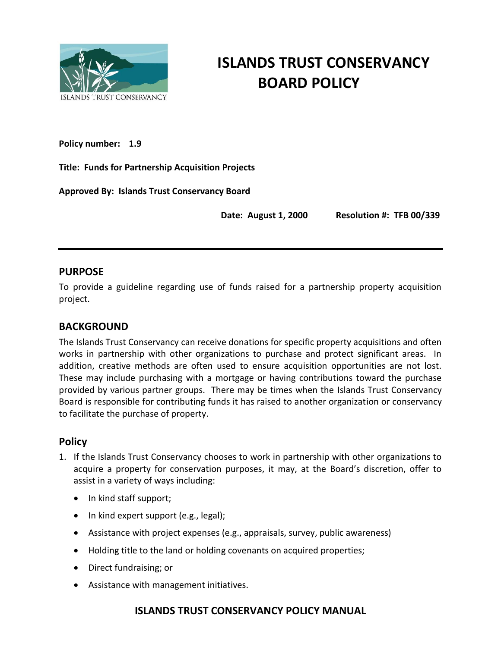

# **ISLANDS TRUST CONSERVANCY BOARD POLICY**

**Policy number: 1.9**

**Title: Funds for Partnership Acquisition Projects**

**Approved By: Islands Trust Conservancy Board** 

**Date: August 1, 2000 Resolution #: TFB 00/339**

#### **PURPOSE**

To provide a guideline regarding use of funds raised for a partnership property acquisition project.

## **BACKGROUND**

The Islands Trust Conservancy can receive donations for specific property acquisitions and often works in partnership with other organizations to purchase and protect significant areas. In addition, creative methods are often used to ensure acquisition opportunities are not lost. These may include purchasing with a mortgage or having contributions toward the purchase provided by various partner groups. There may be times when the Islands Trust Conservancy Board is responsible for contributing funds it has raised to another organization or conservancy to facilitate the purchase of property.

#### **Policy**

- 1. If the Islands Trust Conservancy chooses to work in partnership with other organizations to acquire a property for conservation purposes, it may, at the Board's discretion, offer to assist in a variety of ways including:
	- In kind staff support;
	- In kind expert support (e.g., legal);
	- Assistance with project expenses (e.g., appraisals, survey, public awareness)
	- Holding title to the land or holding covenants on acquired properties;
	- Direct fundraising; or
	- Assistance with management initiatives.

## **ISLANDS TRUST CONSERVANCY POLICY MANUAL**